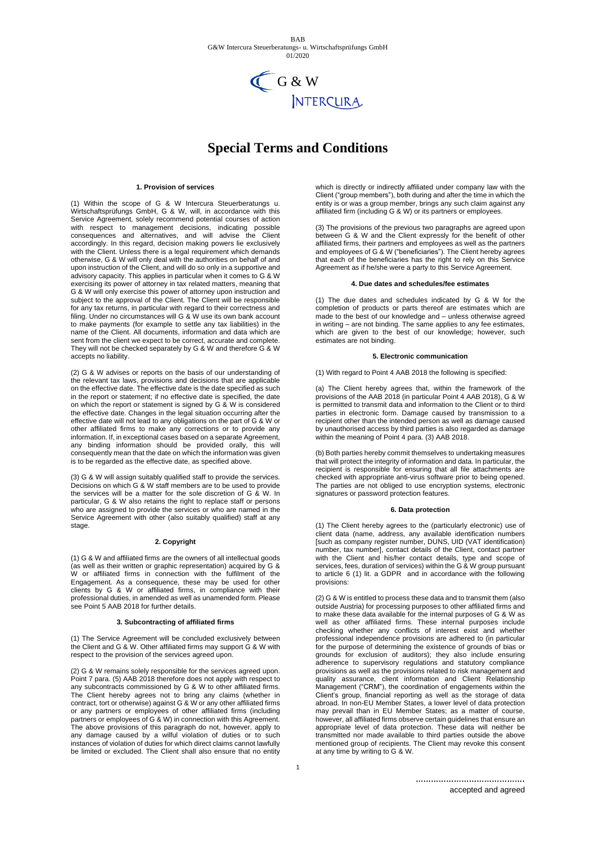

# **Special Terms and Conditions**

#### **1. Provision of services**

(1) Within the scope of G & W Intercura Steuerberatungs u. Wirtschaftsprüfungs GmbH, G & W, will, in accordance with this Service Agreement, solely recommend potential courses of action with respect to management decisions, indicating possible consequences and alternatives, and will advise the Client accordingly. In this regard, decision making powers lie exclusively with the Client. Unless there is a legal requirement which demands otherwise, G & W will only deal with the authorities on behalf of and upon instruction of the Client, and will do so only in a supportive and advisory capacity. This applies in particular when it comes to G & W exercising its power of attorney in tax related matters, meaning that G & W will only exercise this power of attorney upon instruction and subject to the approval of the Client. The Client will be responsible for any tax returns, in particular with regard to their correctness and filing. Under no circumstances will G & W use its own bank account to make payments (for example to settle any tax liabilities) in the name of the Client. All documents, information and data which are sent from the client we expect to be correct, accurate and complete. They will not be checked separately by G & W and therefore G & W accepts no liability.

(2) G & W advises or reports on the basis of our understanding of the relevant tax laws, provisions and decisions that are applicable on the effective date. The effective date is the date specified as such in the report or statement; if no effective date is specified, the date on which the report or statement is signed by G & W is considered the effective date. Changes in the legal situation occurring after the effective date will not lead to any obligations on the part of G & W or other affiliated firms to make any corrections or to provide any information. If, in exceptional cases based on a separate Agreement, any binding information should be provided orally, this will consequently mean that the date on which the information was given is to be regarded as the effective date, as specified above.

(3) G & W will assign suitably qualified staff to provide the services. Decisions on which G & W staff members are to be used to provide the services will be a matter for the sole discretion of G & W. In particular, G & W also retains the right to replace staff or persons who are assigned to provide the services or who are named in the Service Agreement with other (also suitably qualified) staff at any stage.

## **2. Copyright**

(1) G & W and affiliated firms are the owners of all intellectual goods (as well as their written or graphic representation) acquired by G & W or affiliated firms in connection with the fulfilment of the Engagement. As a consequence, these may be used for other clients by G & W or affiliated firms, in compliance with their professional duties, in amended as well as unamended form. Please .<br>see Point 5 AAB 2018 for further details.

#### **3. Subcontracting of affiliated firms**

(1) The Service Agreement will be concluded exclusively between the Client and G & W. Other affiliated firms may support G & W with respect to the provision of the services agreed upon.

(2) G & W remains solely responsible for the services agreed upon. Point 7 para. (5) AAB 2018 therefore does not apply with respect to any subcontracts commissioned by G & W to other affiliated firms. The Client hereby agrees not to bring any claims (whether in contract, tort or otherwise) against G & W or any other affiliated firms or any partners or employees of other affiliated firms (including partners or employees of G & W) in connection with this Agreement. The above provisions of this paragraph do not, however, apply to any damage caused by a wilful violation of duties or to such instances of violation of duties for which direct claims cannot lawfully be limited or excluded. The Client shall also ensure that no entity

which is directly or indirectly affiliated under company law with the Client ("group members"), both during and after the time in which the entity is or was a group member, brings any such claim against any affiliated firm (including G & W) or its partners or employees.

(3) The provisions of the previous two paragraphs are agreed upon between G & W and the Client expressly for the benefit of other affiliated firms, their partners and employees as well as the partners and employees of G & W ("beneficiaries"). The Client hereby agrees that each of the beneficiaries has the right to rely on this Service Agreement as if he/she were a party to this Service Agreement.

## **4. Due dates and schedules/fee estimates**

(1) The due dates and schedules indicated by G & W for the completion of products or parts thereof are estimates which are made to the best of our knowledge and – unless otherwise agreed in writing – are not binding. The same applies to any fee estimates, which are given to the best of our knowledge; however, such estimates are not binding.

## **5. Electronic communication**

(1) With regard to Point 4 AAB 2018 the following is specified:

(a) The Client hereby agrees that, within the framework of the provisions of the AAB 2018 (in particular Point 4 AAB 2018), G & W is permitted to transmit data and information to the Client or to third parties in electronic form. Damage caused by transmission to a recipient other than the intended person as well as damage caused by unauthorised access by third parties is also regarded as damage within the meaning of Point 4 para. (3) AAB 2018.

(b) Both parties hereby commit themselves to undertaking measures that will protect the integrity of information and data. In particular, the recipient is responsible for ensuring that all file attachments are checked with appropriate anti-virus software prior to being opened. The parties are not obliged to use encryption systems, electronic signatures or password protection features

#### **6. Data protection**

(1) The Client hereby agrees to the (particularly electronic) use of client data (name, address, any available identification numbers [such as company register number, DUNS, UID (VAT identification) number, tax number], contact details of the Client, contact partner with the Client and his/her contact details, type and scope of services, fees, duration of services) within the G & W group pursuant to article 6 (1) lit. a GDPR and in accordance with the following provisions:

(2) G & W is entitled to process these data and to transmit them (also outside Austria) for processing purposes to other affiliated firms and to make these data available for the internal purposes of G & W as well as other affiliated firms. These internal purposes include checking whether any conflicts of interest exist and whether professional independence provisions are adhered to (in particular for the purpose of determining the existence of grounds of bias or grounds for exclusion of auditors); they also include ensuring adherence to supervisory regulations and statutory compliance provisions as well as the provisions related to risk management and quality assurance, client information and Client Relationship Management ("CRM"), the coordination of engagements within the Client's group, financial reporting as well as the storage of data abroad. In non-EU Member States, a lower level of data protection may prevail than in EU Member States; as a matter of course, however, all affiliated firms observe certain guidelines that ensure an appropriate level of data protection. These data will neither be transmitted nor made available to third parties outside the above mentioned group of recipients. The Client may revoke this consent at any time by writing to G & W.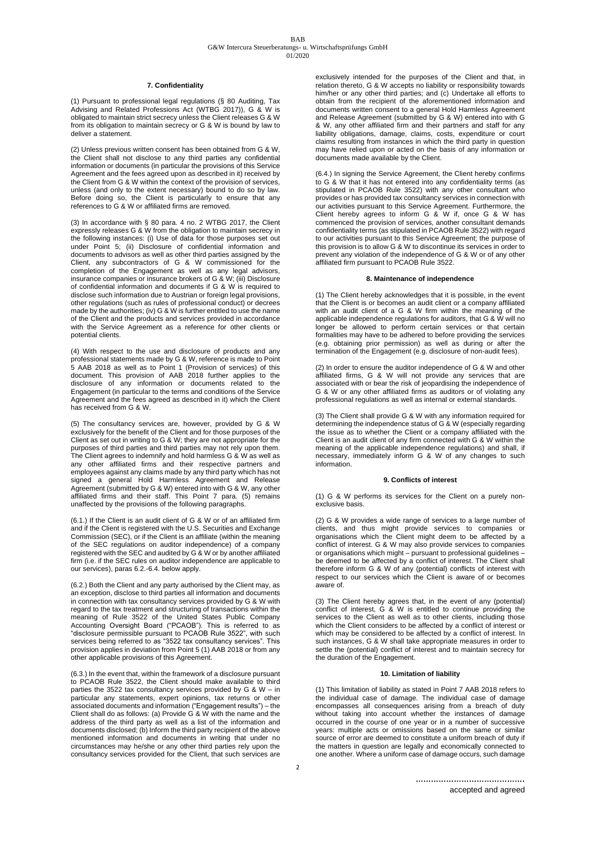## **7. Confidentiality**

(1) Pursuant to professional legal regulations (§ 80 Auditing, Tax Advising and Related Professions Act (WTBG 2017)), G & W is obligated to maintain strict secrecy unless the Client releases G & W from its obligation to maintain secrecy or G & W is bound by law to deliver a statement.

(2) Unless previous written consent has been obtained from G & W, the Client shall not disclose to any third parties any confidential information or documents (in particular the provisions of this Service Agreement and the fees agreed upon as described in it) received by the Client from G & W within the context of the provision of services, unless (and only to the extent necessary) bound to do so by law. Before doing so, the Client is particularly to ensure that any references to G & W or affiliated firms are removed.

(3) In accordance with § 80 para. 4 no. 2 WTBG 2017, the Client expressly releases G & W from the obligation to maintain secrecy in the following instances: (i) Use of data for those purposes set out under Point 5; (ii) Disclosure of confidential information and documents to advisors as well as other third parties assigned by the Client, any subcontractors of G & W commissioned for the completion of the Engagement as well as any legal advisors. insurance companies or insurance brokers of G & W; (iii) Disclosure of confidential information and documents if G & W is required to disclose such information due to Austrian or foreign legal provisions, other regulations (such as rules of professional conduct) or decrees made by the authorities; (iv) G & W is further entitled to use the name of the Client and the products and services provided in accordance with the Service Agreement as a reference for other clients or potential clients.

(4) With respect to the use and disclosure of products and any professional statements made by G & W, reference is made to Point 5 AAB 2018 as well as to Point 1 (Provision of services) of this document. This provision of AAB 2018 further applies to the disclosure of any information or documents related to the Engagement (in particular to the terms and conditions of the Service Agreement and the fees agreed as described in it) which the Client has received from G & W.

(5) The consultancy services are, however, provided by G & W exclusively for the benefit of the Client and for those purposes of the Client as set out in writing to G & W; they are not appropriate for the purposes of third parties and third parties may not rely upon them. The Client agrees to indemnify and hold harmless G & W as well as any other affiliated firms and their respective partners and employees against any claims made by any third party which has not signed a general Hold Harmless Agreement and Release Agreement (submitted by G & W) entered into with G & W, any other affiliated firms and their staff. This Point 7 para. (5) remains unaffected by the provisions of the following paragraphs.

(6.1.) If the Client is an audit client of G & W or of an affiliated firm and if the Client is registered with the U.S. Securities and Exchange Commission (SEC), or if the Client is an affiliate (within the meaning of the SEC regulations on auditor independence) of a company registered with the SEC and audited by G & W or by another affiliated firm (i.e. if the SEC rules on auditor independence are applicable to our services), paras 6.2.-6.4. below apply.

(6.2.) Both the Client and any party authorised by the Client may, as an exception, disclose to third parties all information and documents in connection with tax consultancy services provided by G & W with regard to the tax treatment and structuring of transactions within the meaning of Rule 3522 of the United States Public Company Accounting Oversight Board ("PCAOB"). This is referred to as "disclosure permissible pursuant to PCAOB Rule 3522", with such services being referred to as "3522 tax consultancy services". This provision applies in deviation from Point 5 (1) AAB 2018 or from any other applicable provisions of this Agreement.

(6.3.) In the event that, within the framework of a disclosure pursuant to PCAOB Rule 3522, the Client should make available to third parties the 3522 tax consultancy services provided by G & W – in particular any statements, expert opinions, tax returns or other associated documents and information ("Engagement results") – the Client shall do as follows: (a) Provide G & W with the name and the address of the third party as well as a list of the information and documents disclosed; (b) Inform the third party recipient of the above mentioned information and documents in writing that under no circumstances may he/she or any other third parties rely upon the consultancy services provided for the Client, that such services are

exclusively intended for the purposes of the Client and that, in relation thereto, G & W accepts no liability or responsibility towards him/her or any other third parties; and (c) Undertake all efforts to obtain from the recipient of the aforementioned information and documents written consent to a general Hold Harmless Agreement and Release Agreement (submitted by G & W) entered into with G & W, any other affiliated firm and their partners and staff for any liability obligations, damage, claims, costs, expenditure or court resulting from instances in which the third party in question may have relied upon or acted on the basis of any information or documents made available by the Client.

(6.4.) In signing the Service Agreement, the Client hereby confirms to G & W that it has not entered into any confidentiality terms (as stipulated in PCAOB Rule 3522) with any other consultant who provides or has provided tax consultancy services in connection with our activities pursuant to this Service Agreement. Furthermore, the Client hereby agrees to inform G & W if, once G & W has commenced the provision of services, another consultant demands confidentiality terms (as stipulated in PCAOB Rule 3522) with regard to our activities pursuant to this Service Agreement; the purpose of this provision is to allow G & W to discontinue its services in order to prevent any violation of the independence of G & W or of any other affiliated firm pursuant to PCAOB Rule 3522.

# **8. Maintenance of independence**

(1) The Client hereby acknowledges that it is possible, in the event that the Client is or becomes an audit client or a company affiliated with an audit client of a G & W firm within the meaning of the applicable independence regulations for auditors, that G & W will no longer be allowed to perform certain services or that certain formalities may have to be adhered to before providing the services (e.g. obtaining prior permission) as well as during or after the termination of the Engagement (e.g. disclosure of non-audit fees).

(2) In order to ensure the auditor independence of G & W and other affiliated firms, G & W will not provide any services that are associated with or bear the risk of jeopardising the independence of G & W or any other affiliated firms as auditors or of violating any professional regulations as well as internal or external standards.

(3) The Client shall provide G & W with any information required for determining the independence status of G & W (especially regarding the issue as to whether the Client or a company affiliated with the Client is an audit client of any firm connected with G & W within the meaning of the applicable independence regulations) and shall, if necessary, immediately inform G & W of any changes to such information.

#### **9. Conflicts of interest**

(1) G & W performs its services for the Client on a purely nonexclusive basis.

(2) G & W provides a wide range of services to a large number of clients, and thus might provide services to companies or organisations which the Client might deem to be affected by a conflict of interest. G & W may also provide services to companies or organisations which might – pursuant to professional guidelines – be deemed to be affected by a conflict of interest. The Client shall therefore inform G & W of any (potential) conflicts of interest with respect to our services which the Client is aware of or becomes aware of.

(3) The Client hereby agrees that, in the event of any (potential) conflict of interest, G & W is entitled to continue providing the services to the Client as well as to other clients, including those which the Client considers to be affected by a conflict of interest or which may be considered to be affected by a conflict of interest. In such instances, G & W shall take appropriate measures in order to settle the (potential) conflict of interest and to maintain secrecy for the duration of the Engagement.

## **10. Limitation of liability**

(1) This limitation of liability as stated in Point 7 AAB 2018 refers to the individual case of damage. The individual case of damage encompasses all consequences arising from a breach of duty without taking into account whether the instances of damage occurred in the course of one year or in a number of successive years: multiple acts or omissions based on the same or similar source of error are deemed to constitute a uniform breach of duty if the matters in question are legally and economically connected to one another. Where a uniform case of damage occurs, such damage